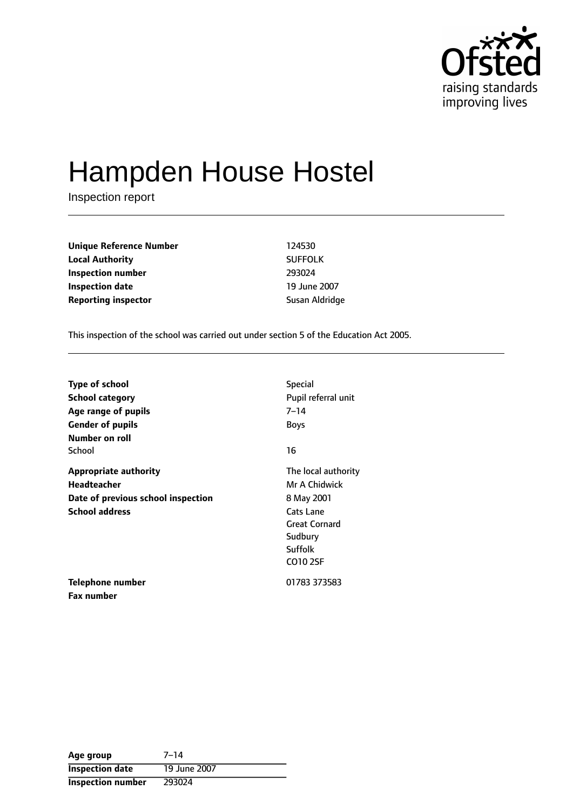

# Hampden House Hostel

Inspection report

| <b>Unique Reference Number</b> | 124530         |
|--------------------------------|----------------|
| <b>Local Authority</b>         | <b>SUFFOLK</b> |
| Inspection number              | 293024         |
| <b>Inspection date</b>         | 19 June 2007   |
| <b>Reporting inspector</b>     | Susan Aldridge |

This inspection of the school was carried out under section 5 of the Education Act 2005.

| <b>Type of school</b><br><b>School category</b><br>Age range of pupils<br><b>Gender of pupils</b> | <b>Special</b><br>Pupil referral unit<br>7–14<br><b>Boys</b>        |
|---------------------------------------------------------------------------------------------------|---------------------------------------------------------------------|
| Number on roll<br>School                                                                          | 16                                                                  |
|                                                                                                   |                                                                     |
| <b>Appropriate authority</b>                                                                      | The local authority                                                 |
| <b>Headteacher</b>                                                                                | Mr A Chidwick                                                       |
| Date of previous school inspection                                                                | 8 May 2001                                                          |
| <b>School address</b>                                                                             | Cats Lane<br><b>Great Cornard</b><br>Sudbury<br>Suffolk<br>CO10 2SF |
| Telephone number                                                                                  | 01783 373583                                                        |
| Fax number                                                                                        |                                                                     |

Age group 7-14 **Inspection date** 19 June 2007 **Inspection number** 293024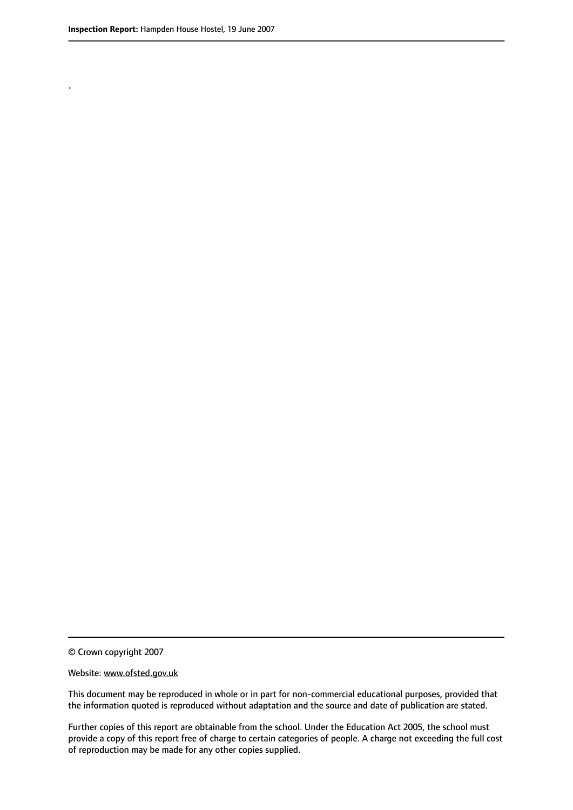.

© Crown copyright 2007

#### Website: www.ofsted.gov.uk

This document may be reproduced in whole or in part for non-commercial educational purposes, provided that the information quoted is reproduced without adaptation and the source and date of publication are stated.

Further copies of this report are obtainable from the school. Under the Education Act 2005, the school must provide a copy of this report free of charge to certain categories of people. A charge not exceeding the full cost of reproduction may be made for any other copies supplied.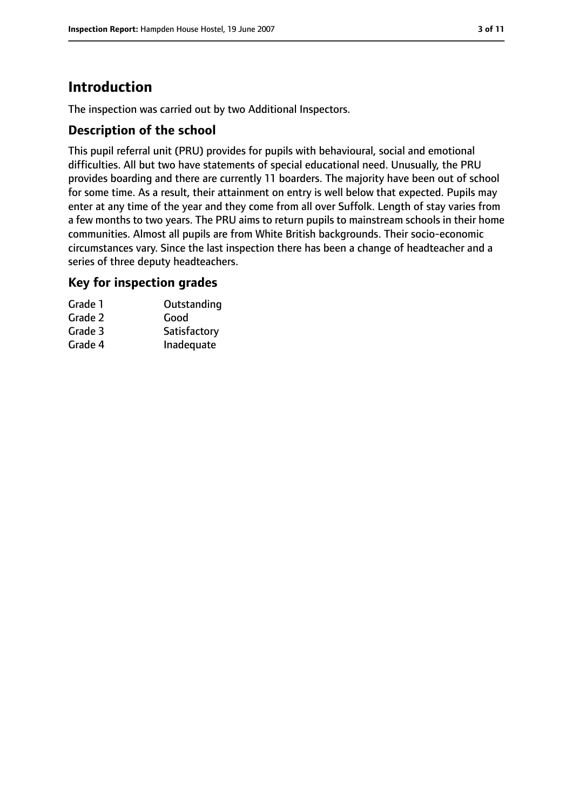# **Introduction**

The inspection was carried out by two Additional Inspectors.

## **Description of the school**

This pupil referral unit (PRU) provides for pupils with behavioural, social and emotional difficulties. All but two have statements of special educational need. Unusually, the PRU provides boarding and there are currently 11 boarders. The majority have been out of school for some time. As a result, their attainment on entry is well below that expected. Pupils may enter at any time of the year and they come from all over Suffolk. Length of stay varies from a few months to two years. The PRU aims to return pupils to mainstream schools in their home communities. Almost all pupils are from White British backgrounds. Their socio-economic circumstances vary. Since the last inspection there has been a change of headteacher and a series of three deputy headteachers.

## **Key for inspection grades**

| Outstanding  |
|--------------|
|              |
| Satisfactory |
| Inadequate   |
|              |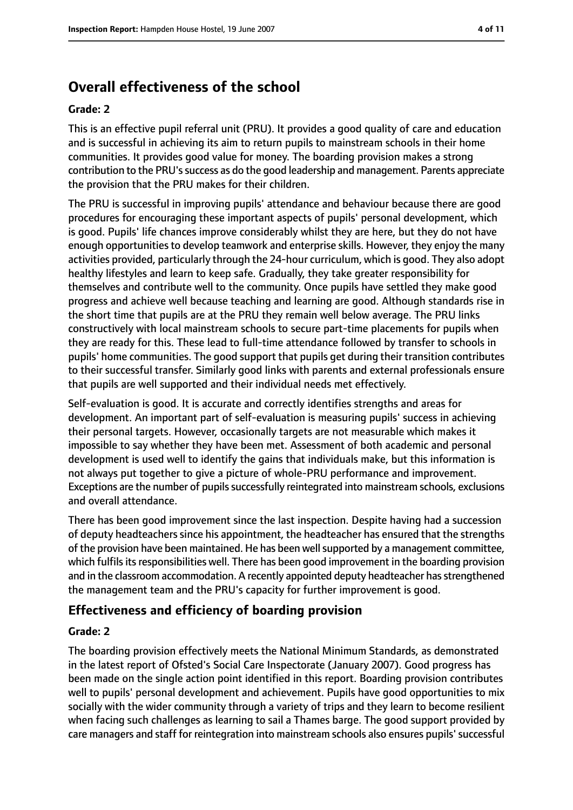# **Overall effectiveness of the school**

#### **Grade: 2**

This is an effective pupil referral unit (PRU). It provides a good quality of care and education and is successful in achieving its aim to return pupils to mainstream schools in their home communities. It provides good value for money. The boarding provision makes a strong contribution to the PRU's success as do the good leadership and management. Parents appreciate the provision that the PRU makes for their children.

The PRU is successful in improving pupils' attendance and behaviour because there are good procedures for encouraging these important aspects of pupils' personal development, which is good. Pupils' life chances improve considerably whilst they are here, but they do not have enough opportunities to develop teamwork and enterprise skills. However, they enjoy the many activities provided, particularly through the 24-hour curriculum, which is good. They also adopt healthy lifestyles and learn to keep safe. Gradually, they take greater responsibility for themselves and contribute well to the community. Once pupils have settled they make good progress and achieve well because teaching and learning are good. Although standards rise in the short time that pupils are at the PRU they remain well below average. The PRU links constructively with local mainstream schools to secure part-time placements for pupils when they are ready for this. These lead to full-time attendance followed by transfer to schools in pupils' home communities. The good support that pupils get during their transition contributes to their successful transfer. Similarly good links with parents and external professionals ensure that pupils are well supported and their individual needs met effectively.

Self-evaluation is good. It is accurate and correctly identifies strengths and areas for development. An important part of self-evaluation is measuring pupils' success in achieving their personal targets. However, occasionally targets are not measurable which makes it impossible to say whether they have been met. Assessment of both academic and personal development is used well to identify the gains that individuals make, but this information is not always put together to give a picture of whole-PRU performance and improvement. Exceptions are the number of pupils successfully reintegrated into mainstream schools, exclusions and overall attendance.

There has been good improvement since the last inspection. Despite having had a succession of deputy headteachers since his appointment, the headteacher has ensured that the strengths of the provision have been maintained. He has been well supported by a management committee, which fulfils its responsibilities well. There has been good improvement in the boarding provision and in the classroom accommodation. A recently appointed deputy headteacher has strengthened the management team and the PRU's capacity for further improvement is good.

## **Effectiveness and efficiency of boarding provision**

#### **Grade: 2**

The boarding provision effectively meets the National Minimum Standards, as demonstrated in the latest report of Ofsted's Social Care Inspectorate (January 2007). Good progress has been made on the single action point identified in this report. Boarding provision contributes well to pupils' personal development and achievement. Pupils have good opportunities to mix socially with the wider community through a variety of trips and they learn to become resilient when facing such challenges as learning to sail a Thames barge. The good support provided by care managers and staff for reintegration into mainstream schools also ensures pupils'successful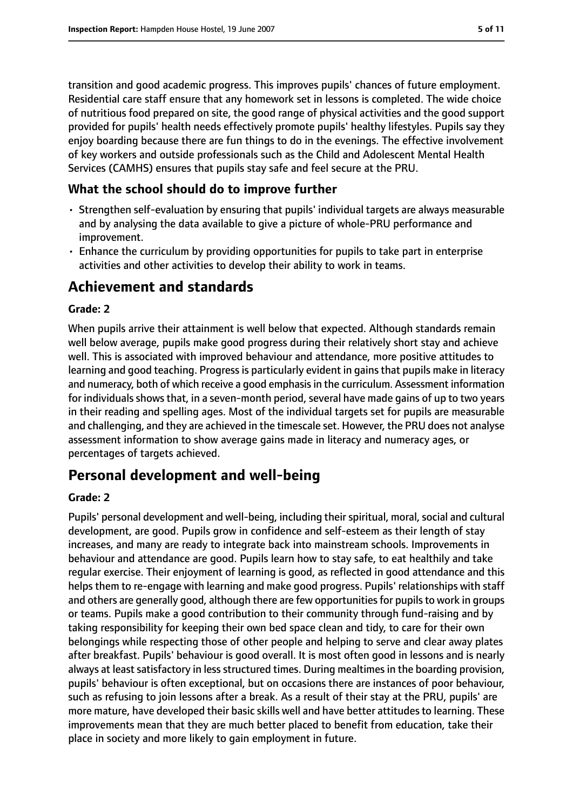transition and good academic progress. This improves pupils' chances of future employment. Residential care staff ensure that any homework set in lessons is completed. The wide choice of nutritious food prepared on site, the good range of physical activities and the good support provided for pupils' health needs effectively promote pupils' healthy lifestyles. Pupils say they enjoy boarding because there are fun things to do in the evenings. The effective involvement of key workers and outside professionals such as the Child and Adolescent Mental Health Services (CAMHS) ensures that pupils stay safe and feel secure at the PRU.

## **What the school should do to improve further**

- Strengthen self-evaluation by ensuring that pupils' individual targets are always measurable and by analysing the data available to give a picture of whole-PRU performance and improvement.
- Enhance the curriculum by providing opportunities for pupils to take part in enterprise activities and other activities to develop their ability to work in teams.

# **Achievement and standards**

## **Grade: 2**

When pupils arrive their attainment is well below that expected. Although standards remain well below average, pupils make good progress during their relatively short stay and achieve well. This is associated with improved behaviour and attendance, more positive attitudes to learning and good teaching. Progress is particularly evident in gains that pupils make in literacy and numeracy, both of which receive a good emphasisin the curriculum. Assessment information for individuals shows that, in a seven-month period, several have made gains of up to two years in their reading and spelling ages. Most of the individual targets set for pupils are measurable and challenging, and they are achieved in the timescale set. However, the PRU does not analyse assessment information to show average gains made in literacy and numeracy ages, or percentages of targets achieved.

# **Personal development and well-being**

#### **Grade: 2**

Pupils' personal development and well-being, including their spiritual, moral, social and cultural development, are good. Pupils grow in confidence and self-esteem as their length of stay increases, and many are ready to integrate back into mainstream schools. Improvements in behaviour and attendance are good. Pupils learn how to stay safe, to eat healthily and take regular exercise. Their enjoyment of learning is good, as reflected in good attendance and this helps them to re-engage with learning and make good progress. Pupils' relationships with staff and others are generally good, although there are few opportunities for pupils to work in groups or teams. Pupils make a good contribution to their community through fund-raising and by taking responsibility for keeping their own bed space clean and tidy, to care for their own belongings while respecting those of other people and helping to serve and clear away plates after breakfast. Pupils' behaviour is good overall. It is most often good in lessons and is nearly always at least satisfactory in less structured times. During mealtimes in the boarding provision, pupils' behaviour is often exceptional, but on occasions there are instances of poor behaviour, such as refusing to join lessons after a break. As a result of their stay at the PRU, pupils' are more mature, have developed their basic skills well and have better attitudes to learning. These improvements mean that they are much better placed to benefit from education, take their place in society and more likely to gain employment in future.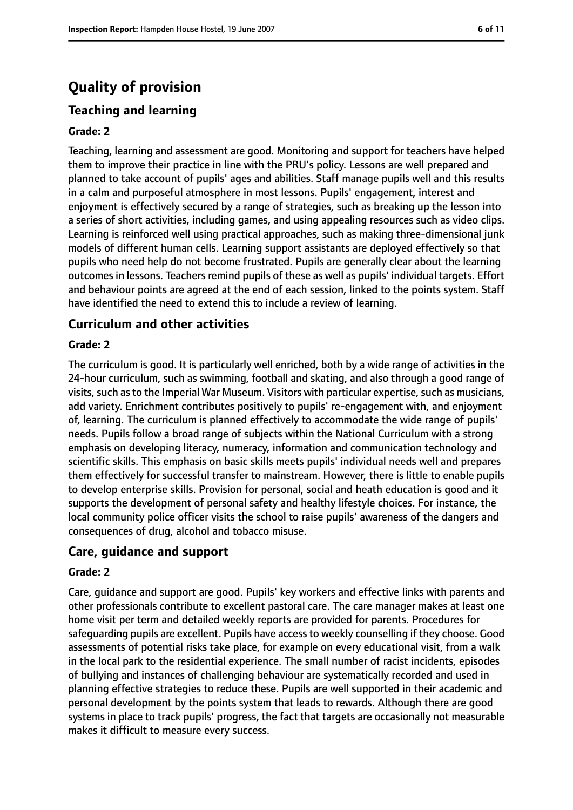# **Quality of provision**

# **Teaching and learning**

#### **Grade: 2**

Teaching, learning and assessment are good. Monitoring and support for teachers have helped them to improve their practice in line with the PRU's policy. Lessons are well prepared and planned to take account of pupils' ages and abilities. Staff manage pupils well and this results in a calm and purposeful atmosphere in most lessons. Pupils' engagement, interest and enjoyment is effectively secured by a range of strategies, such as breaking up the lesson into a series of short activities, including games, and using appealing resources such as video clips. Learning is reinforced well using practical approaches, such as making three-dimensional junk models of different human cells. Learning support assistants are deployed effectively so that pupils who need help do not become frustrated. Pupils are generally clear about the learning outcomes in lessons. Teachers remind pupils of these as well as pupils' individual targets. Effort and behaviour points are agreed at the end of each session, linked to the points system. Staff have identified the need to extend this to include a review of learning.

#### **Curriculum and other activities**

#### **Grade: 2**

The curriculum is good. It is particularly well enriched, both by a wide range of activities in the 24-hour curriculum, such as swimming, football and skating, and also through a good range of visits, such as to the Imperial War Museum. Visitors with particular expertise, such as musicians, add variety. Enrichment contributes positively to pupils' re-engagement with, and enjoyment of, learning. The curriculum is planned effectively to accommodate the wide range of pupils' needs. Pupils follow a broad range of subjects within the National Curriculum with a strong emphasis on developing literacy, numeracy, information and communication technology and scientific skills. This emphasis on basic skills meets pupils' individual needs well and prepares them effectively for successful transfer to mainstream. However, there is little to enable pupils to develop enterprise skills. Provision for personal, social and heath education is good and it supports the development of personal safety and healthy lifestyle choices. For instance, the local community police officer visits the school to raise pupils' awareness of the dangers and consequences of drug, alcohol and tobacco misuse.

#### **Care, guidance and support**

#### **Grade: 2**

Care, guidance and support are good. Pupils' key workers and effective links with parents and other professionals contribute to excellent pastoral care. The care manager makes at least one home visit per term and detailed weekly reports are provided for parents. Procedures for safeguarding pupils are excellent. Pupils have access to weekly counselling if they choose. Good assessments of potential risks take place, for example on every educational visit, from a walk in the local park to the residential experience. The small number of racist incidents, episodes of bullying and instances of challenging behaviour are systematically recorded and used in planning effective strategies to reduce these. Pupils are well supported in their academic and personal development by the points system that leads to rewards. Although there are good systems in place to track pupils' progress, the fact that targets are occasionally not measurable makes it difficult to measure every success.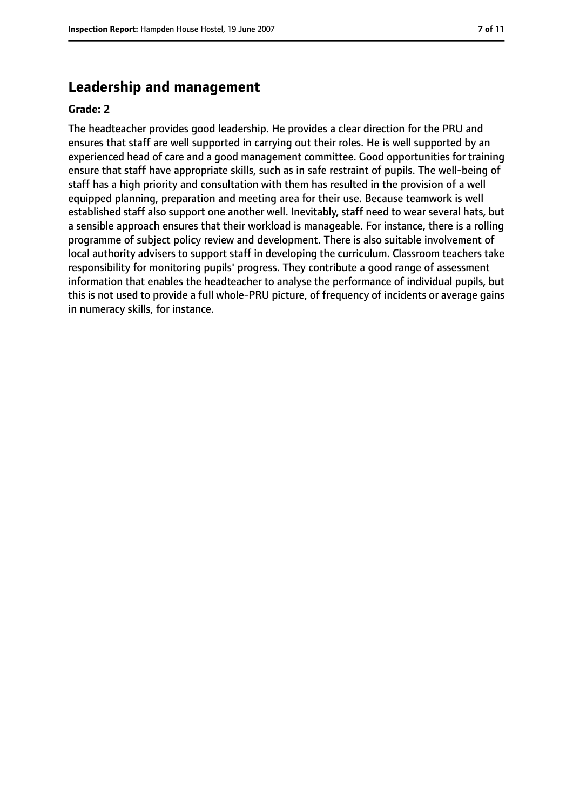# **Leadership and management**

#### **Grade: 2**

The headteacher provides good leadership. He provides a clear direction for the PRU and ensures that staff are well supported in carrying out their roles. He is well supported by an experienced head of care and a good management committee. Good opportunities for training ensure that staff have appropriate skills, such as in safe restraint of pupils. The well-being of staff has a high priority and consultation with them has resulted in the provision of a well equipped planning, preparation and meeting area for their use. Because teamwork is well established staff also support one another well. Inevitably, staff need to wear several hats, but a sensible approach ensures that their workload is manageable. For instance, there is a rolling programme of subject policy review and development. There is also suitable involvement of local authority advisers to support staff in developing the curriculum. Classroom teachers take responsibility for monitoring pupils' progress. They contribute a good range of assessment information that enables the headteacher to analyse the performance of individual pupils, but this is not used to provide a full whole-PRU picture, of frequency of incidents or average gains in numeracy skills, for instance.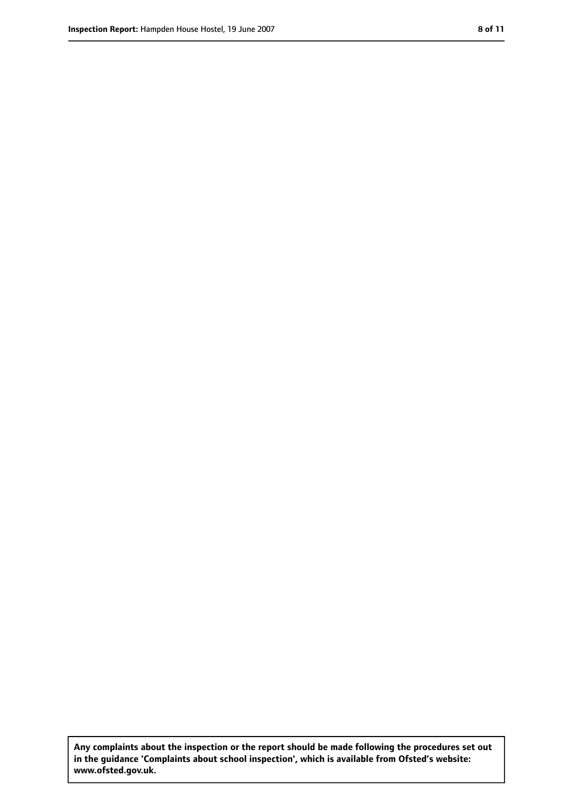**Any complaints about the inspection or the report should be made following the procedures set out in the guidance 'Complaints about school inspection', which is available from Ofsted's website: www.ofsted.gov.uk.**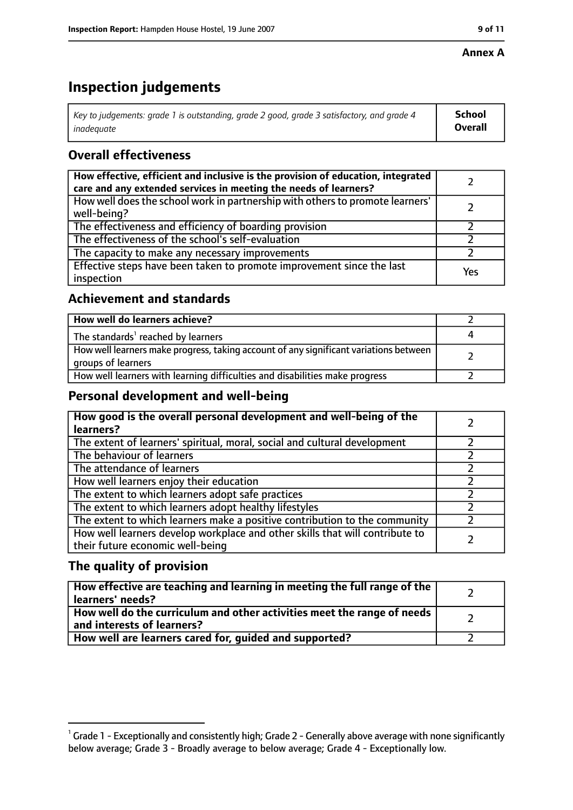#### **Annex A**

# **Inspection judgements**

| Key to judgements: grade 1 is outstanding, grade 2 good, grade 3 satisfactory, and grade 4 $\,$ | <b>School</b>  |
|-------------------------------------------------------------------------------------------------|----------------|
| inadequate                                                                                      | <b>Overall</b> |

# **Overall effectiveness**

| How effective, efficient and inclusive is the provision of education, integrated<br>care and any extended services in meeting the needs of learners? |     |
|------------------------------------------------------------------------------------------------------------------------------------------------------|-----|
| How well does the school work in partnership with others to promote learners'<br>well-being?                                                         |     |
| The effectiveness and efficiency of boarding provision                                                                                               |     |
| The effectiveness of the school's self-evaluation                                                                                                    |     |
| The capacity to make any necessary improvements                                                                                                      |     |
| Effective steps have been taken to promote improvement since the last<br>inspection                                                                  | Yes |

## **Achievement and standards**

| How well do learners achieve?                                                                               |  |
|-------------------------------------------------------------------------------------------------------------|--|
| The standards <sup>1</sup> reached by learners                                                              |  |
| How well learners make progress, taking account of any significant variations between<br>groups of learners |  |
| How well learners with learning difficulties and disabilities make progress                                 |  |

## **Personal development and well-being**

| How good is the overall personal development and well-being of the<br>learners?                                  |  |
|------------------------------------------------------------------------------------------------------------------|--|
| The extent of learners' spiritual, moral, social and cultural development                                        |  |
| The behaviour of learners                                                                                        |  |
| The attendance of learners                                                                                       |  |
| How well learners enjoy their education                                                                          |  |
| The extent to which learners adopt safe practices                                                                |  |
| The extent to which learners adopt healthy lifestyles                                                            |  |
| The extent to which learners make a positive contribution to the community                                       |  |
| How well learners develop workplace and other skills that will contribute to<br>their future economic well-being |  |

## **The quality of provision**

| How effective are teaching and learning in meeting the full range of the<br>learners' needs?          |  |
|-------------------------------------------------------------------------------------------------------|--|
| How well do the curriculum and other activities meet the range of needs<br>and interests of learners? |  |
| How well are learners cared for, quided and supported?                                                |  |

 $^1$  Grade 1 - Exceptionally and consistently high; Grade 2 - Generally above average with none significantly below average; Grade 3 - Broadly average to below average; Grade 4 - Exceptionally low.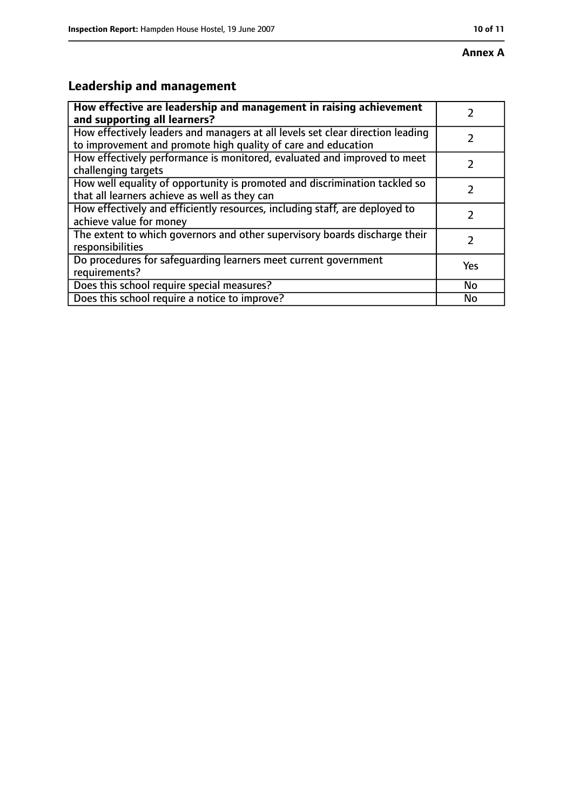# **Leadership and management**

| How effective are leadership and management in raising achievement                                                                              |               |
|-------------------------------------------------------------------------------------------------------------------------------------------------|---------------|
| and supporting all learners?                                                                                                                    |               |
| How effectively leaders and managers at all levels set clear direction leading<br>to improvement and promote high quality of care and education |               |
| How effectively performance is monitored, evaluated and improved to meet<br>challenging targets                                                 |               |
| How well equality of opportunity is promoted and discrimination tackled so<br>that all learners achieve as well as they can                     |               |
| How effectively and efficiently resources, including staff, are deployed to<br>achieve value for money                                          | 7             |
| The extent to which governors and other supervisory boards discharge their<br>responsibilities                                                  | $\mathcal{L}$ |
| Do procedures for safequarding learners meet current government<br>requirements?                                                                | Yes           |
| Does this school require special measures?                                                                                                      | No            |
| Does this school require a notice to improve?                                                                                                   | No            |